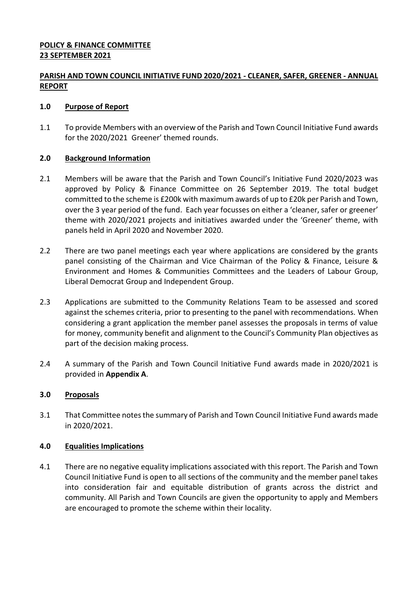# **POLICY & FINANCE COMMITTEE 23 SEPTEMBER 2021**

# **PARISH AND TOWN COUNCIL INITIATIVE FUND 2020/2021 - CLEANER, SAFER, GREENER - ANNUAL REPORT**

# **1.0 Purpose of Report**

1.1 To provide Members with an overview of the Parish and Town Council Initiative Fund awards for the 2020/2021 Greener' themed rounds.

# **2.0 Background Information**

- 2.1 Members will be aware that the Parish and Town Council's Initiative Fund 2020/2023 was approved by Policy & Finance Committee on 26 September 2019. The total budget committed to the scheme is £200k with maximum awards of up to £20k per Parish and Town, over the 3 year period of the fund. Each year focusses on either a 'cleaner, safer or greener' theme with 2020/2021 projects and initiatives awarded under the 'Greener' theme, with panels held in April 2020 and November 2020.
- 2.2 There are two panel meetings each year where applications are considered by the grants panel consisting of the Chairman and Vice Chairman of the Policy & Finance, Leisure & Environment and Homes & Communities Committees and the Leaders of Labour Group, Liberal Democrat Group and Independent Group.
- 2.3 Applications are submitted to the Community Relations Team to be assessed and scored against the schemes criteria, prior to presenting to the panel with recommendations. When considering a grant application the member panel assesses the proposals in terms of value for money, community benefit and alignment to the Council's Community Plan objectives as part of the decision making process.
- 2.4 A summary of the Parish and Town Council Initiative Fund awards made in 2020/2021 is provided in **Appendix A**.

## **3.0 Proposals**

3.1 That Committee notes the summary of Parish and Town Council Initiative Fund awards made in 2020/2021.

### **4.0 Equalities Implications**

4.1 There are no negative equality implications associated with this report. The Parish and Town Council Initiative Fund is open to all sections of the community and the member panel takes into consideration fair and equitable distribution of grants across the district and community. All Parish and Town Councils are given the opportunity to apply and Members are encouraged to promote the scheme within their locality.